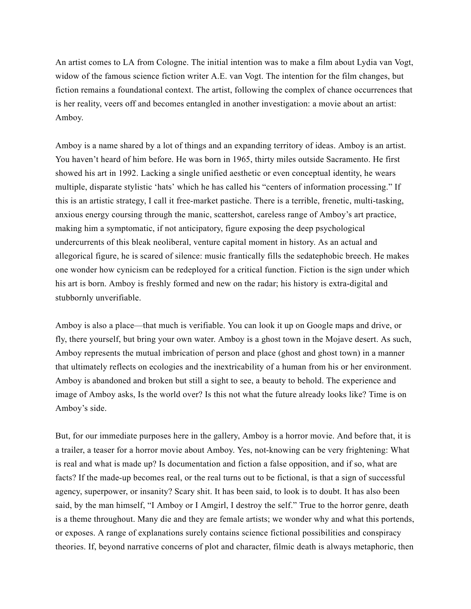An artist comes to LA from Cologne. The initial intention was to make a film about Lydia van Vogt, widow of the famous science fiction writer A.E. van Vogt. The intention for the film changes, but fiction remains a foundational context. The artist, following the complex of chance occurrences that is her reality, veers off and becomes entangled in another investigation: a movie about an artist: Amboy.

Amboy is a name shared by a lot of things and an expanding territory of ideas. Amboy is an artist. You haven't heard of him before. He was born in 1965, thirty miles outside Sacramento. He first showed his art in 1992. Lacking a single unified aesthetic or even conceptual identity, he wears multiple, disparate stylistic 'hats' which he has called his "centers of information processing." If this is an artistic strategy, I call it free-market pastiche. There is a terrible, frenetic, multi-tasking, anxious energy coursing through the manic, scattershot, careless range of Amboy's art practice, making him a symptomatic, if not anticipatory, figure exposing the deep psychological undercurrents of this bleak neoliberal, venture capital moment in history. As an actual and allegorical figure, he is scared of silence: music frantically fills the sedatephobic breech. He makes one wonder how cynicism can be redeployed for a critical function. Fiction is the sign under which his art is born. Amboy is freshly formed and new on the radar; his history is extra-digital and stubbornly unverifiable.

Amboy is also a place—that much is verifiable. You can look it up on Google maps and drive, or fly, there yourself, but bring your own water. Amboy is a ghost town in the Mojave desert. As such, Amboy represents the mutual imbrication of person and place (ghost and ghost town) in a manner that ultimately reflects on ecologies and the inextricability of a human from his or her environment. Amboy is abandoned and broken but still a sight to see, a beauty to behold. The experience and image of Amboy asks, Is the world over? Is this not what the future already looks like? Time is on Amboy's side.

But, for our immediate purposes here in the gallery, Amboy is a horror movie. And before that, it is a trailer, a teaser for a horror movie about Amboy. Yes, not-knowing can be very frightening: What is real and what is made up? Is documentation and fiction a false opposition, and if so, what are facts? If the made-up becomes real, or the real turns out to be fictional, is that a sign of successful agency, superpower, or insanity? Scary shit. It has been said, to look is to doubt. It has also been said, by the man himself, "I Amboy or I Amgirl, I destroy the self." True to the horror genre, death is a theme throughout. Many die and they are female artists; we wonder why and what this portends, or exposes. A range of explanations surely contains science fictional possibilities and conspiracy theories. If, beyond narrative concerns of plot and character, filmic death is always metaphoric, then